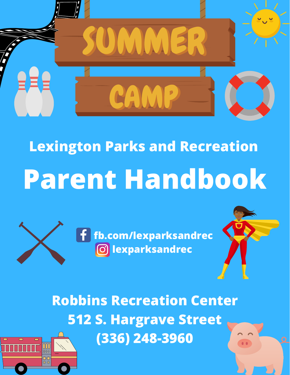

# **Lexington Parks and Recreation Parent Handbook**



**fb.com/lexparksandrec lexparksandrec**



**Robbins Recreation Center 512 S. Hargrave Street (336) 248-3960**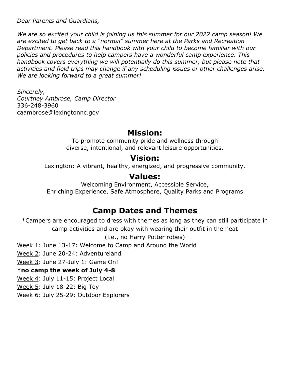*Dear Parents and Guardians,* 

*We are so excited your child is joining us this summer for our 2022 camp season! We are excited to get back to a "normal" summer here at the Parks and Recreation Department. Please read this handbook with your child to become familiar with our policies and procedures to help campers have a wonderful camp experience. This handbook covers everything we will potentially do this summer, but please note that activities and field trips may change if any scheduling issues or other challenges arise. We are looking forward to a great summer!*

*Sincerely, Courtney Ambrose, Camp Director* 336-248-3960 caambrose@lexingtonnc.gov

#### **Mission:**

To promote community pride and wellness through diverse, intentional, and relevant leisure opportunities.

#### **Vision:**

Lexington: A vibrant, healthy, energized, and progressive community.

#### **Values:**

Welcoming Environment, Accessible Service, Enriching Experience, Safe Atmosphere, Quality Parks and Programs

#### **Camp Dates and Themes**

\*Campers are encouraged to dress with themes as long as they can still participate in camp activities and are okay with wearing their outfit in the heat

(i.e., no Harry Potter robes)

Week 1: June 13-17: Welcome to Camp and Around the World

Week 2: June 20-24: Adventureland

Week 3: June 27-July 1: Game On!

#### **\*no camp the week of July 4-8**

Week 4: July 11-15: Project Local

Week 5: July 18-22: Big Toy

Week 6: July 25-29: Outdoor Explorers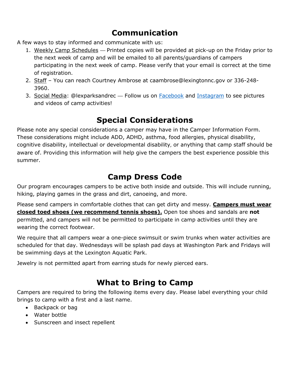# **Communication**

A few ways to stay informed and communicate with us:

- 1. Weekly Camp Schedules Printed copies will be provided at pick-up on the Friday prior to the next week of camp and will be emailed to all parents/guardians of campers participating in the next week of camp. Please verify that your email is correct at the time of registration.
- 2. Staff You can reach Courtney Ambrose at caambrose@lexingtonnc.gov or 336-248- 3960.
- 3. Social Media: @lexparksandrec Follow us on **Facebook** and **Instagram** to see pictures and videos of camp activities!

### **Special Considerations**

Please note any special considerations a camper may have in the Camper Information Form. These considerations might include ADD, ADHD, asthma, food allergies, physical disability, cognitive disability, intellectual or developmental disability, or anything that camp staff should be aware of. Providing this information will help give the campers the best experience possible this summer.

#### **Camp Dress Code**

Our program encourages campers to be active both inside and outside. This will include running, hiking, playing games in the grass and dirt, canoeing, and more.

Please send campers in comfortable clothes that can get dirty and messy. **Campers must wear closed toed shoes (we recommend tennis shoes).** Open toe shoes and sandals are **not** permitted, and campers will not be permitted to participate in camp activities until they are wearing the correct footwear.

We require that all campers wear a one-piece swimsuit or swim trunks when water activities are scheduled for that day. Wednesdays will be splash pad days at Washington Park and Fridays will be swimming days at the Lexington Aquatic Park.

Jewelry is not permitted apart from earring studs for newly pierced ears.

### **What to Bring to Camp**

Campers are required to bring the following items every day. Please label everything your child brings to camp with a first and a last name.

- Backpack or bag
- Water bottle
- Sunscreen and insect repellent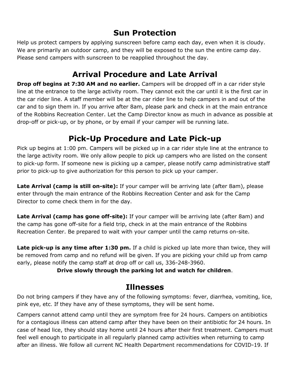## **Sun Protection**

Help us protect campers by applying sunscreen before camp each day, even when it is cloudy. We are primarily an outdoor camp, and they will be exposed to the sun the entire camp day. Please send campers with sunscreen to be reapplied throughout the day.

#### **Arrival Procedure and Late Arrival**

**Drop off begins at 7:30 AM and no earlier.** Campers will be dropped off in a car rider style line at the entrance to the large activity room. They cannot exit the car until it is the first car in the car rider line. A staff member will be at the car rider line to help campers in and out of the car and to sign them in. If you arrive after 8am, please park and check in at the main entrance of the Robbins Recreation Center. Let the Camp Director know as much in advance as possible at drop-off or pick-up, or by phone, or by email if your camper will be running late.

#### **Pick-Up Procedure and Late Pick-up**

Pick up begins at 1:00 pm. Campers will be picked up in a car rider style line at the entrance to the large activity room. We only allow people to pick up campers who are listed on the consent to pick-up form. If someone new is picking up a camper, please notify camp administrative staff prior to pick-up to give authorization for this person to pick up your camper.

**Late Arrival (camp is still on-site):** If your camper will be arriving late (after 8am), please enter through the main entrance of the Robbins Recreation Center and ask for the Camp Director to come check them in for the day.

Late Arrival (camp has gone off-site): If your camper will be arriving late (after 8am) and the camp has gone off-site for a field trip, check in at the main entrance of the Robbins Recreation Center. Be prepared to wait with your camper until the camp returns on-site.

**Late pick-up is any time after 1:30 pm.** If a child is picked up late more than twice, they will be removed from camp and no refund will be given. If you are picking your child up from camp early, please notify the camp staff at drop off or call us, 336-248-3960.

#### **Drive slowly through the parking lot and watch for children**.

#### **Illnesses**

Do not bring campers if they have any of the following symptoms: fever, diarrhea, vomiting, lice, pink eye, etc. If they have any of these symptoms, they will be sent home.

Campers cannot attend camp until they are symptom free for 24 hours. Campers on antibiotics for a contagious illness can attend camp after they have been on their antibiotic for 24 hours. In case of head lice, they should stay home until 24 hours after their first treatment. Campers must feel well enough to participate in all regularly planned camp activities when returning to camp after an illness. We follow all current NC Health Department recommendations for COVID-19. If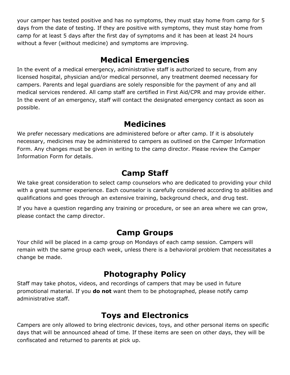your camper has tested positive and has no symptoms, they must stay home from camp for 5 days from the date of testing. If they are positive with symptoms, they must stay home from camp for at least 5 days after the first day of symptoms and it has been at least 24 hours without a fever (without medicine) and symptoms are improving.

#### **Medical Emergencies**

In the event of a medical emergency, administrative staff is authorized to secure, from any licensed hospital, physician and/or medical personnel, any treatment deemed necessary for campers. Parents and legal guardians are solely responsible for the payment of any and all medical services rendered. All camp staff are certified in First Aid/CPR and may provide either. In the event of an emergency, staff will contact the designated emergency contact as soon as possible.

#### **Medicines**

We prefer necessary medications are administered before or after camp. If it is absolutely necessary, medicines may be administered to campers as outlined on the Camper Information Form. Any changes must be given in writing to the camp director. Please review the Camper Information Form for details.

#### **Camp Staff**

We take great consideration to select camp counselors who are dedicated to providing your child with a great summer experience. Each counselor is carefully considered according to abilities and qualifications and goes through an extensive training, background check, and drug test.

If you have a question regarding any training or procedure, or see an area where we can grow, please contact the camp director.

#### **Camp Groups**

Your child will be placed in a camp group on Mondays of each camp session. Campers will remain with the same group each week, unless there is a behavioral problem that necessitates a change be made.

### **Photography Policy**

Staff may take photos, videos, and recordings of campers that may be used in future promotional material. If you **do not** want them to be photographed, please notify camp administrative staff.

#### **Toys and Electronics**

Campers are only allowed to bring electronic devices, toys, and other personal items on specific days that will be announced ahead of time. If these items are seen on other days, they will be confiscated and returned to parents at pick up.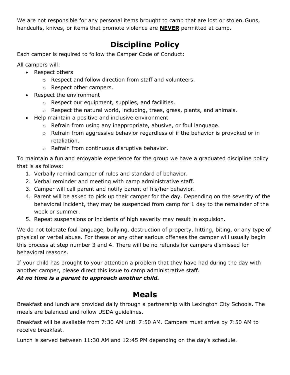We are not responsible for any personal items brought to camp that are lost or stolen. Guns, handcuffs, knives, or items that promote violence are **NEVER** permitted at camp.

# **Discipline Policy**

Each camper is required to follow the Camper Code of Conduct:

All campers will:

- Respect others
	- o Respect and follow direction from staff and volunteers.
	- o Respect other campers.
- Respect the environment
	- o Respect our equipment, supplies, and facilities.
	- o Respect the natural world, including, trees, grass, plants, and animals.
- Help maintain a positive and inclusive environment
	- o Refrain from using any inappropriate, abusive, or foul language.
	- o Refrain from aggressive behavior regardless of if the behavior is provoked or in retaliation.
	- o Refrain from continuous disruptive behavior.

To maintain a fun and enjoyable experience for the group we have a graduated discipline policy that is as follows:

- 1. Verbally remind camper of rules and standard of behavior.
- 2. Verbal reminder and meeting with camp administrative staff.
- 3. Camper will call parent and notify parent of his/her behavior.
- 4. Parent will be asked to pick up their camper for the day. Depending on the severity of the behavioral incident, they may be suspended from camp for 1 day to the remainder of the week or summer.
- 5. Repeat suspensions or incidents of high severity may result in expulsion.

We do not tolerate foul language, bullying, destruction of property, hitting, biting, or any type of physical or verbal abuse. For these or any other serious offenses the camper will usually begin this process at step number 3 and 4. There will be no refunds for campers dismissed for behavioral reasons.

If your child has brought to your attention a problem that they have had during the day with another camper, please direct this issue to camp administrative staff.

#### *At no time is a parent to approach another child.*

#### **Meals**

Breakfast and lunch are provided daily through a partnership with Lexington City Schools. The meals are balanced and follow USDA guidelines.

Breakfast will be available from 7:30 AM until 7:50 AM. Campers must arrive by 7:50 AM to receive breakfast.

Lunch is served between 11:30 AM and 12:45 PM depending on the day's schedule.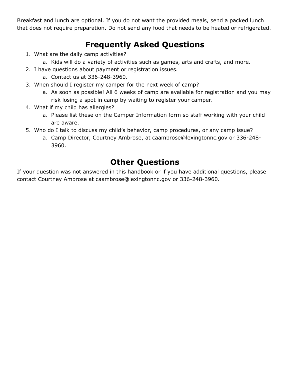Breakfast and lunch are optional. If you do not want the provided meals, send a packed lunch that does not require preparation. Do not send any food that needs to be heated or refrigerated.

### **Frequently Asked Questions**

- 1. What are the daily camp activities?
	- a. Kids will do a variety of activities such as games, arts and crafts, and more.
- 2. I have questions about payment or registration issues.
	- a. Contact us at 336-248-3960.
- 3. When should I register my camper for the next week of camp?
	- a. As soon as possible! All 6 weeks of camp are available for registration and you may risk losing a spot in camp by waiting to register your camper.
- 4. What if my child has allergies?
	- a. Please list these on the Camper Information form so staff working with your child are aware.
- 5. Who do I talk to discuss my child's behavior, camp procedures, or any camp issue?
	- a. Camp Director, Courtney Ambrose, at caambrose@lexingtonnc.gov or 336-248- 3960.

### **Other Questions**

If your question was not answered in this handbook or if you have additional questions, please contact Courtney Ambrose at caambrose@lexingtonnc.gov or 336-248-3960.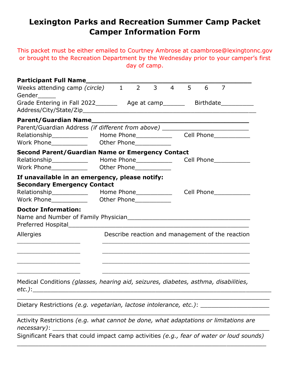#### **Lexington Parks and Recreation Summer Camp Packet Camper Information Form**

This packet must be either emailed to Courtney Ambrose at caambrose@lexingtonnc.gov or brought to the Recreation Department by the Wednesday prior to your camper's first day of camp.

| Participant Full Name__________                                                                                                                                                                                                      |  |            |                         |           |                |   |                                                  |  |
|--------------------------------------------------------------------------------------------------------------------------------------------------------------------------------------------------------------------------------------|--|------------|-------------------------|-----------|----------------|---|--------------------------------------------------|--|
| Weeks attending camp (circle) 1<br>Gender                                                                                                                                                                                            |  | $2^{\sim}$ | $3^{\circ}$             | $4 \quad$ | 5 <sub>5</sub> | 6 | $\overline{7}$                                   |  |
| Grade Entering in Fall 2022__________ Age at camp___________ Birthdate__________                                                                                                                                                     |  |            |                         |           |                |   |                                                  |  |
|                                                                                                                                                                                                                                      |  |            |                         |           |                |   |                                                  |  |
| Parent/Guardian Address (if different from above) ______________________________                                                                                                                                                     |  |            |                         |           |                |   |                                                  |  |
| Relationship______________  Home Phone_____________                                                                                                                                                                                  |  |            |                         |           |                |   | Cell Phone____________                           |  |
|                                                                                                                                                                                                                                      |  |            |                         |           |                |   |                                                  |  |
| <b>Second Parent/Guardian Name or Emergency Contact</b>                                                                                                                                                                              |  |            |                         |           |                |   |                                                  |  |
| Relationship______________  Home Phone______________                                                                                                                                                                                 |  |            |                         |           |                |   | Cell Phone___________                            |  |
| Work Phone <b>Communist Communist Communist Communist Communist Communist Communist Communist Communist Communist Communist Communist Communist Communist Communist Communist Communist Communist Communist Communist Communist </b> |  |            |                         |           |                |   |                                                  |  |
| If unavailable in an emergency, please notify:<br><b>Secondary Emergency Contact</b>                                                                                                                                                 |  |            |                         |           |                |   |                                                  |  |
|                                                                                                                                                                                                                                      |  |            |                         |           |                |   |                                                  |  |
| Work Phone____________                                                                                                                                                                                                               |  |            | Other Phone____________ |           |                |   |                                                  |  |
| <b>Doctor Information:</b>                                                                                                                                                                                                           |  |            |                         |           |                |   |                                                  |  |
| Allergies                                                                                                                                                                                                                            |  |            |                         |           |                |   | Describe reaction and management of the reaction |  |
|                                                                                                                                                                                                                                      |  |            |                         |           |                |   |                                                  |  |
| Medical Conditions (glasses, hearing aid, seizures, diabetes, asthma, disabilities,                                                                                                                                                  |  |            |                         |           |                |   |                                                  |  |
| Dietary Restrictions (e.g. vegetarian, lactose intolerance, etc.): ____________________                                                                                                                                              |  |            |                         |           |                |   |                                                  |  |

Activity Restrictions *(e.g. what cannot be done, what adaptations or limitations are necessary)*: \_\_\_\_\_\_\_\_\_\_\_\_\_\_\_\_\_\_\_\_\_\_\_\_\_\_\_\_\_\_\_\_\_\_\_\_\_\_\_\_\_\_\_\_\_\_\_\_\_\_\_\_\_\_\_\_\_\_\_\_

Significant Fears that could impact camp activities *(e.g., fear of water or loud sounds)* \_\_\_\_\_\_\_\_\_\_\_\_\_\_\_\_\_\_\_\_\_\_\_\_\_\_\_\_\_\_\_\_\_\_\_\_\_\_\_\_\_\_\_\_\_\_\_\_\_\_\_\_\_\_\_\_\_\_\_\_\_\_\_\_\_\_\_\_\_

\_\_\_\_\_\_\_\_\_\_\_\_\_\_\_\_\_\_\_\_\_\_\_\_\_\_\_\_\_\_\_\_\_\_\_\_\_\_\_\_\_\_\_\_\_\_\_\_\_\_\_\_\_\_\_\_\_\_\_\_\_\_\_\_\_\_\_\_\_\_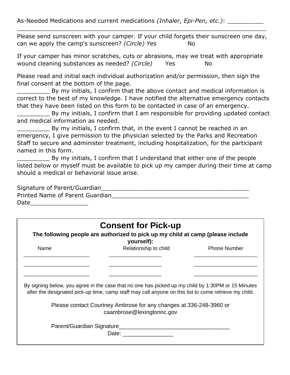As-Needed Medications and current medications *(Inhaler, Epi-Pen, etc.)*: \_\_\_\_\_\_\_\_\_\_

Please send sunscreen with your camper. If your child forgets their sunscreen one day, can we apply the camp's sunscreen? *(Circle) Yes* No

\_\_\_\_\_\_\_\_\_\_\_\_\_\_\_\_\_\_\_\_\_\_\_\_\_\_\_\_\_\_\_\_\_\_\_\_\_\_\_\_\_\_\_\_\_\_\_\_\_\_\_\_\_\_\_\_\_\_\_\_\_\_\_\_\_\_\_\_\_

If your camper has minor scratches, cuts or abrasions, may we treat with appropriate wound cleaning substances as needed? *(Circle)* Yes No

Please read and initial each individual authorization and/or permission, then sign the final consent at the bottom of the page.

By my initials, I confirm that the above contact and medical information is correct to the best of my knowledge. I have notified the alternative emergency contacts that they have been listed on this form to be contacted in case of an emergency.

\_\_\_\_\_\_\_\_\_ By my initials, I confirm that I am responsible for providing updated contact and medical information as needed.

By my initials, I confirm that, in the event I cannot be reached in an emergency, I give permission to the physician selected by the Parks and Recreation Staff to secure and administer treatment, including hospitalization, for the participant named in this form.

\_\_\_\_\_\_\_\_\_ By my initials, I confirm that I understand that either one of the people listed below or myself must be available to pick up my camper during their time at camp should a medical or behavioral issue arise.

Signature of Parent/Guardian\_\_\_\_\_\_\_\_\_\_\_\_\_\_\_\_\_\_\_\_\_\_\_\_\_\_\_\_\_\_\_\_\_\_\_\_\_\_\_\_\_ Printed Name of Parent Guardian principles and the contract of the contract of the contract of the contract of Date\_\_\_\_\_\_\_\_\_\_\_\_\_\_\_\_

|      | <b>Consent for Pick-up</b>                                                                                                                                                                                  |                     |
|------|-------------------------------------------------------------------------------------------------------------------------------------------------------------------------------------------------------------|---------------------|
|      | The following people are authorized to pick up my child at camp (please include<br>yourself):                                                                                                               |                     |
| Name | Relationship to child                                                                                                                                                                                       | <b>Phone Number</b> |
|      |                                                                                                                                                                                                             |                     |
|      |                                                                                                                                                                                                             |                     |
|      |                                                                                                                                                                                                             |                     |
|      | By signing below, you agree in the case that no one has picked up my child by 1:30PM or 15 Minutes<br>after the designated pick-up time, camp staff may call anyone on this list to come retrieve my child. |                     |
|      | Please contact Courtney Ambrose for any changes at 336-248-3960 or<br>caambrose@lexingtonnc.gov                                                                                                             |                     |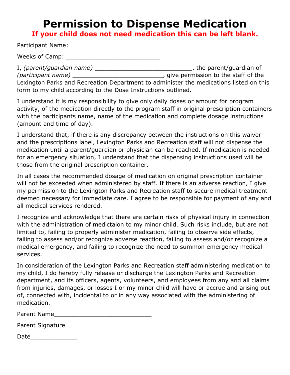# **Permission to Dispense Medication**

**If your child does not need medication this can be left blank.**

Participant Name: \_\_\_\_\_\_\_\_\_\_\_\_\_\_\_\_\_\_\_\_\_\_\_\_\_

Weeks of Camp: \_\_\_\_\_\_\_\_\_\_\_\_\_\_\_\_\_\_\_\_\_\_\_\_\_\_

I, *(parent/guardian name)* \_\_\_\_\_\_\_\_\_\_\_\_\_\_\_\_\_\_\_\_\_\_\_\_\_\_\_, the parent/guardian of *(participant name)* \_\_\_\_\_\_\_\_\_\_\_\_\_\_\_\_\_\_\_\_\_\_\_\_\_, give permission to the staff of the Lexington Parks and Recreation Department to administer the medications listed on this form to my child according to the Dose Instructions outlined.

I understand it is my responsibility to give only daily doses or amount for program activity, of the medication directly to the program staff in original prescription containers with the participants name, name of the medication and complete dosage instructions (amount and time of day).

I understand that, if there is any discrepancy between the instructions on this waiver and the prescriptions label, Lexington Parks and Recreation staff will not dispense the medication until a parent/guardian or physician can be reached. If medication is needed for an emergency situation, I understand that the dispensing instructions used will be those from the original prescription container.

In all cases the recommended dosage of medication on original prescription container will not be exceeded when administered by staff. If there is an adverse reaction, I give my permission to the Lexington Parks and Recreation staff to secure medical treatment deemed necessary for immediate care. I agree to be responsible for payment of any and all medical services rendered.

I recognize and acknowledge that there are certain risks of physical injury in connection with the administration of medictaion to my minor child. Such risks include, but are not limited to, failing to properly administer medication, failing to observe side effects, failing to assess and/or recognize adverse reaction, failing to assess and/or recognize a medical emergency, and failing to recognize the need to summon emergency medical services.

In consideration of the Lexington Parks and Recreation staff administering medication to my child, I do hereby fully release or discharge the Lexington Parks and Recreation department, and its officers, agents, volunteers, and employees from any and all claims from injuries, damages, or losses I or my minor child will have or accrue and arising out of, connected with, incidental to or in any way associated with the administering of medication.

| Parent Name |  |
|-------------|--|
|             |  |

| Parent Signature |  |  |
|------------------|--|--|
|                  |  |  |

Date\_\_\_\_\_\_\_\_\_\_\_\_\_